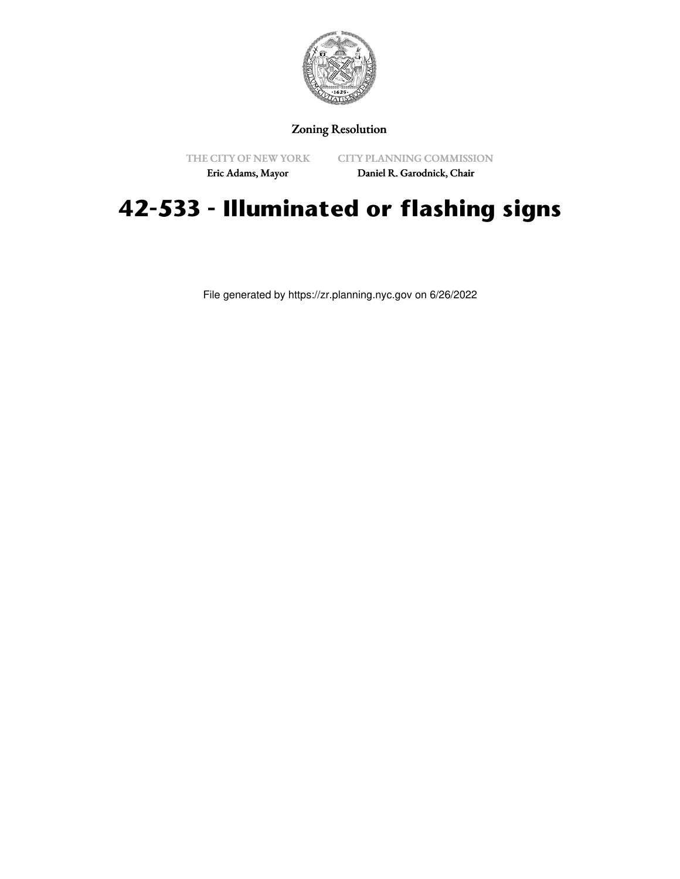

## Zoning Resolution

THE CITY OF NEW YORK

CITY PLANNING COMMISSION

Eric Adams, Mayor

Daniel R. Garodnick, Chair

## **42-533 - Illuminated or flashing signs**

File generated by https://zr.planning.nyc.gov on 6/26/2022